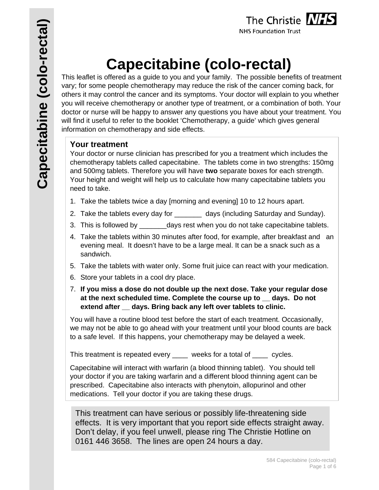

# **Capecitabine (colo-rectal)**

This leaflet is offered as a guide to you and your family. The possible benefits of treatment vary; for some people chemotherapy may reduce the risk of the cancer coming back, for others it may control the cancer and its symptoms. Your doctor will explain to you whether you will receive chemotherapy or another type of treatment, or a combination of both. Your doctor or nurse will be happy to answer any questions you have about your treatment. You will find it useful to refer to the booklet 'Chemotherapy, a guide' which gives general information on chemotherapy and side effects.

## **Your treatment**

Your doctor or nurse clinician has prescribed for you a treatment which includes the chemotherapy tablets called capecitabine. The tablets come in two strengths: 150mg and 500mg tablets. Therefore you will have **two** separate boxes for each strength. Your height and weight will help us to calculate how many capecitabine tablets you need to take.

- 1. Take the tablets twice a day [morning and evening] 10 to 12 hours apart.
- 2. Take the tablets every day for \_\_\_\_\_\_\_ days (including Saturday and Sunday).
- 3. This is followed by early days rest when you do not take capecitabine tablets.
- 4. Take the tablets within 30 minutes after food, for example, after breakfast and an evening meal. It doesn't have to be a large meal. It can be a snack such as a sandwich.
- 5. Take the tablets with water only. Some fruit juice can react with your medication.
- 6. Store your tablets in a cool dry place.
- 7. **If you miss a dose do not double up the next dose. Take your regular dose at the next scheduled time. Complete the course up to \_\_ days. Do not extend after \_\_ days. Bring back any left over tablets to clinic.**

You will have a routine blood test before the start of each treatment. Occasionally, we may not be able to go ahead with your treatment until your blood counts are back to a safe level. If this happens, your chemotherapy may be delayed a week.

This treatment is repeated every \_\_\_\_ weeks for a total of \_\_\_\_ cycles.

Capecitabine will interact with warfarin (a blood thinning tablet). You should tell your doctor if you are taking warfarin and a different blood thinning agent can be prescribed. Capecitabine also interacts with phenytoin, allopurinol and other medications. Tell your doctor if you are taking these drugs.

This treatment can have serious or possibly life-threatening side effects. It is very important that you report side effects straight away. Don't delay, if you feel unwell, please ring The Christie Hotline on 0161 446 3658. The lines are open 24 hours a day.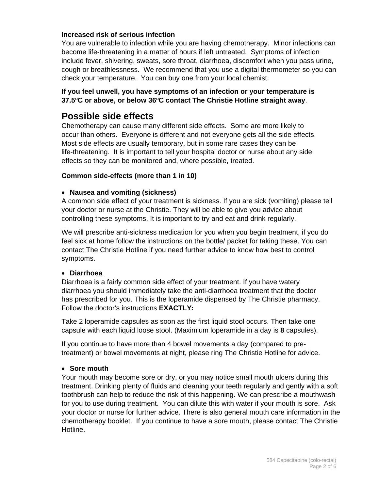#### **Increased risk of serious infection**

You are vulnerable to infection while you are having chemotherapy. Minor infections can become life-threatening in a matter of hours if left untreated. Symptoms of infection include fever, shivering, sweats, sore throat, diarrhoea, discomfort when you pass urine, cough or breathlessness. We recommend that you use a digital thermometer so you can check your temperature. You can buy one from your local chemist.

#### **If you feel unwell, you have symptoms of an infection or your temperature is 37.5ºC or above, or below 36ºC contact The Christie Hotline straight away**.

## **Possible side effects**

Chemotherapy can cause many different side effects. Some are more likely to occur than others. Everyone is different and not everyone gets all the side effects. Most side effects are usually temporary, but in some rare cases they can be life-threatening. It is important to tell your hospital doctor or nurse about any side effects so they can be monitored and, where possible, treated.

#### **Common side-effects (more than 1 in 10)**

#### **Nausea and vomiting (sickness)**

A common side effect of your treatment is sickness. If you are sick (vomiting) please tell your doctor or nurse at the Christie. They will be able to give you advice about controlling these symptoms. It is important to try and eat and drink regularly.

We will prescribe anti-sickness medication for you when you begin treatment, if you do feel sick at home follow the instructions on the bottle/ packet for taking these. You can contact The Christie Hotline if you need further advice to know how best to control symptoms.

#### **Diarrhoea**

Diarrhoea is a fairly common side effect of your treatment. If you have watery diarrhoea you should immediately take the anti-diarrhoea treatment that the doctor has prescribed for you. This is the loperamide dispensed by The Christie pharmacy. Follow the doctor's instructions **EXACTLY:** 

Take 2 loperamide capsules as soon as the first liquid stool occurs. Then take one capsule with each liquid loose stool. (Maximium loperamide in a day is **8** capsules).

If you continue to have more than 4 bowel movements a day (compared to pretreatment) or bowel movements at night, please ring The Christie Hotline for advice.

#### **Sore mouth**

Your mouth may become sore or dry, or you may notice small mouth ulcers during this treatment. Drinking plenty of fluids and cleaning your teeth regularly and gently with a soft toothbrush can help to reduce the risk of this happening. We can prescribe a mouthwash for you to use during treatment. You can dilute this with water if your mouth is sore. Ask your doctor or nurse for further advice. There is also general mouth care information in the chemotherapy booklet. If you continue to have a sore mouth, please contact The Christie Hotline.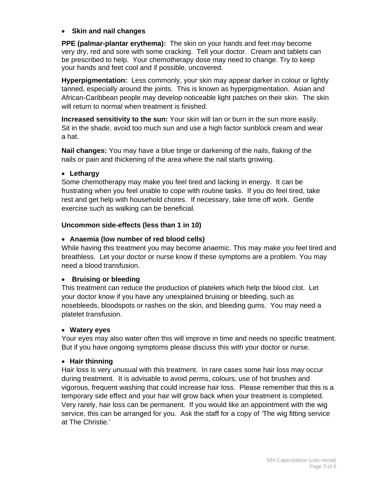#### **Skin and nail changes**

**PPE (palmar-plantar erythema):** The skin on your hands and feet may become very dry, red and sore with some cracking. Tell your doctor. Cream and tablets can be prescribed to help. Your chemotherapy dose may need to change. Try to keep your hands and feet cool and if possible, uncovered.

**Hyperpigmentation:** Less commonly, your skin may appear darker in colour or lightly tanned, especially around the joints. This is known as hyperpigmentation. Asian and African-Caribbean people may develop noticeable light patches on their skin. The skin will return to normal when treatment is finished.

**Increased sensitivity to the sun:** Your skin will tan or burn in the sun more easily. Sit in the shade, avoid too much sun and use a high factor sunblock cream and wear a hat.

**Nail changes:** You may have a blue tinge or darkening of the nails, flaking of the nails or pain and thickening of the area where the nail starts growing.

#### **Lethargy**

Some chemotherapy may make you feel tired and lacking in energy. It can be frustrating when you feel unable to cope with routine tasks. If you do feel tired, take rest and get help with household chores. If necessary, take time off work. Gentle exercise such as walking can be beneficial.

#### **Uncommon side-effects (less than 1 in 10)**

#### **Anaemia (low number of red blood cells)**

While having this treatment you may become anaemic. This may make you feel tired and breathless. Let your doctor or nurse know if these symptoms are a problem. You may need a blood transfusion.

#### **Bruising or bleeding**

This treatment can reduce the production of platelets which help the blood clot. Let your doctor know if you have any unexplained bruising or bleeding, such as nosebleeds, bloodspots or rashes on the skin, and bleeding gums. You may need a platelet transfusion.

#### **Watery eyes**

Your eyes may also water often this will improve in time and needs no specific treatment. But if you have ongoing symptoms please discuss this with your doctor or nurse.

#### **Hair thinning**

Hair loss is very unusual with this treatment. In rare cases some hair loss may occur during treatment. It is advisable to avoid perms, colours, use of hot brushes and vigorous, frequent washing that could increase hair loss. Please remember that this is a temporary side effect and your hair will grow back when your treatment is completed. Very rarely, hair loss can be permanent. If you would like an appointment with the wig service, this can be arranged for you. Ask the staff for a copy of *'*The wig fitting service at The Christie.'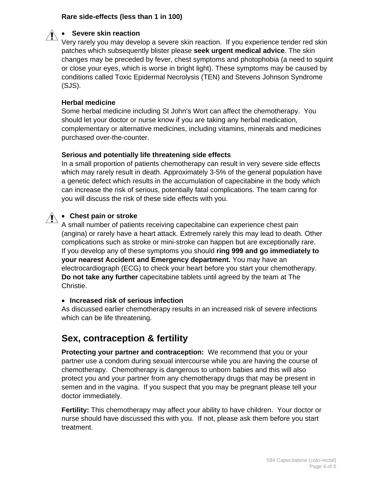#### **Rare side-effects (less than 1 in 100)**



#### **Severe skin reaction**

Very rarely you may develop a severe skin reaction. If you experience tender red skin patches which subsequently blister please **seek urgent medical advice**. The skin changes may be preceded by fever, chest symptoms and photophobia (a need to squint or close your eyes, which is worse in bright light). These symptoms may be caused by conditions called Toxic Epidermal Necrolysis (TEN) and Stevens Johnson Syndrome (SJS).

#### **Herbal medicine**

Some herbal medicine including St John's Wort can affect the chemotherapy. You should let your doctor or nurse know if you are taking any herbal medication, complementary or alternative medicines, including vitamins, minerals and medicines purchased over-the-counter.

#### **Serious and potentially life threatening side effects**

In a small proportion of patients chemotherapy can result in very severe side effects which may rarely result in death. Approximately 3-5% of the general population have a genetic defect which results in the accumulation of capecitabine in the body which can increase the risk of serious, potentially fatal complications. The team caring for you will discuss the risk of these side effects with you.



# **Chest pain or stroke**

A small number of patients receiving capecitabine can experience chest pain (angina) or rarely have a heart attack. Extremely rarely this may lead to death. Other complications such as stroke or mini-stroke can happen but are exceptionally rare. If you develop any of these symptoms you should **ring 999 and go immediately to your nearest Accident and Emergency department.** You may have an electrocardiograph (ECG) to check your heart before you start your chemotherapy. **Do not take any further** capecitabine tablets until agreed by the team at The Christie.

#### **Increased risk of serious infection**

As discussed earlier chemotherapy results in an increased risk of severe infections which can be life threatening.

## **Sex, contraception & fertility**

**Protecting your partner and contraception:** We recommend that you or your partner use a condom during sexual intercourse while you are having the course of chemotherapy. Chemotherapy is dangerous to unborn babies and this will also protect you and your partner from any chemotherapy drugs that may be present in semen and in the vagina. If you suspect that you may be pregnant please tell your doctor immediately.

**Fertility:** This chemotherapy may affect your ability to have children. Your doctor or nurse should have discussed this with you. If not, please ask them before you start treatment.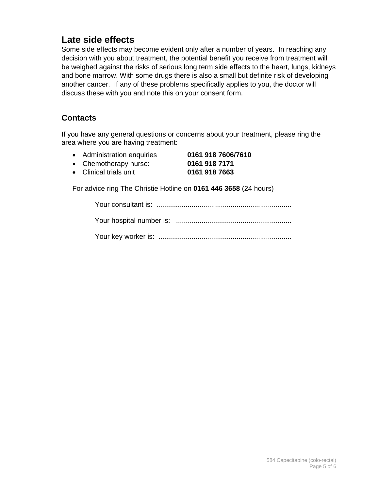# **Late side effects**

Some side effects may become evident only after a number of years. In reaching any decision with you about treatment, the potential benefit you receive from treatment will be weighed against the risks of serious long term side effects to the heart, lungs, kidneys and bone marrow. With some drugs there is also a small but definite risk of developing another cancer. If any of these problems specifically applies to you, the doctor will discuss these with you and note this on your consent form.

## **Contacts**

If you have any general questions or concerns about your treatment, please ring the area where you are having treatment:

- Administration enquiries **0161 918 7606/7610**
- Chemotherapy nurse: **0161 918 7171**
- Clinical trials unit **0161 918 7663**

For advice ring The Christie Hotline on **0161 446 3658** (24 hours)